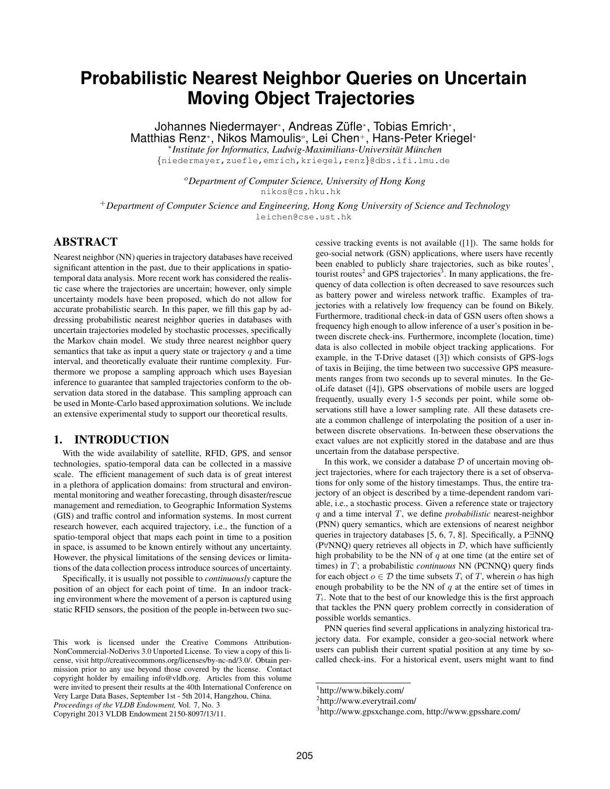# **Probabilistic Nearest Neighbor Queries on Uncertain Moving Object Trajectories**

Johannes Niedermayer∗, Andreas Züfle∗, Tobias Emrich∗, Matthias Renz∗, Nikos Mamoulis∘, Lei Chen+, Hans-Peter Kriegel∗ ∗ *Institute for Informatics, Ludwig-Maximilians-Universitat M¨ unchen ¨*

{niedermayer,zuefle,emrich,kriegel,renz}@dbs.ifi.lmu.de

<sup>o</sup>*Department of Computer Science, University of Hong Kong* nikos@cs.hku.hk

<sup>+</sup>*Department of Computer Science and Engineering, Hong Kong University of Science and Technology* leichen@cse.ust.hk

# ABSTRACT

Nearest neighbor (NN) queries in trajectory databases have received significant attention in the past, due to their applications in spatiotemporal data analysis. More recent work has considered the realistic case where the trajectories are uncertain; however, only simple uncertainty models have been proposed, which do not allow for accurate probabilistic search. In this paper, we fill this gap by addressing probabilistic nearest neighbor queries in databases with uncertain trajectories modeled by stochastic processes, specifically the Markov chain model. We study three nearest neighbor query semantics that take as input a query state or trajectory  $q$  and a time interval, and theoretically evaluate their runtime complexity. Furthermore we propose a sampling approach which uses Bayesian inference to guarantee that sampled trajectories conform to the observation data stored in the database. This sampling approach can be used in Monte-Carlo based approximation solutions. We include an extensive experimental study to support our theoretical results.

# 1. INTRODUCTION

With the wide availability of satellite, RFID, GPS, and sensor technologies, spatio-temporal data can be collected in a massive scale. The efficient management of such data is of great interest in a plethora of application domains: from structural and environmental monitoring and weather forecasting, through disaster/rescue management and remediation, to Geographic Information Systems (GIS) and traffic control and information systems. In most current research however, each acquired trajectory, i.e., the function of a spatio-temporal object that maps each point in time to a position in space, is assumed to be known entirely without any uncertainty. However, the physical limitations of the sensing devices or limitations of the data collection process introduce sources of uncertainty.

Specifically, it is usually not possible to *continuously* capture the position of an object for each point of time. In an indoor tracking environment where the movement of a person is captured using static RFID sensors, the position of the people in-between two suc-

*Proceedings of the VLDB Endowment,* Vol. 7, No. 3

Copyright 2013 VLDB Endowment 2150-8097/13/11.

cessive tracking events is not available ([1]). The same holds for geo-social network (GSN) applications, where users have recently been enabled to publicly share trajectories, such as bike routes<sup>1</sup>, tourist routes<sup>2</sup> and GPS trajectories<sup>3</sup>. In many applications, the frequency of data collection is often decreased to save resources such as battery power and wireless network traffic. Examples of trajectories with a relatively low frequency can be found on Bikely. Furthermore, traditional check-in data of GSN users often shows a frequency high enough to allow inference of a user's position in between discrete check-ins. Furthermore, incomplete (location, time) data is also collected in mobile object tracking applications. For example, in the T-Drive dataset ([3]) which consists of GPS-logs of taxis in Beijing, the time between two successive GPS measurements ranges from two seconds up to several minutes. In the GeoLife dataset ([4]), GPS observations of mobile users are logged frequently, usually every 1-5 seconds per point, while some observations still have a lower sampling rate. All these datasets create a common challenge of interpolating the position of a user inbetween discrete observations. In-between these observations the exact values are not explicitly stored in the database and are thus uncertain from the database perspective.

In this work, we consider a database  $D$  of uncertain moving object trajectories, where for each trajectory there is a set of observations for only some of the history timestamps. Thus, the entire trajectory of an object is described by a time-dependent random variable, i.e., a stochastic process. Given a reference state or trajectory q and a time interval T, we define *probabilistic* nearest-neighbor (PNN) query semantics, which are extensions of nearest neighbor queries in trajectory databases [5, 6, 7, 8]. Specifically, a P∃NNQ (P $\forall NNQ$ ) query retrieves all objects in  $D$ , which have sufficiently high probability to be the NN of  $q$  at one time (at the entire set of times) in T; a probabilistic *continuous* NN (PCNNQ) query finds for each object  $o \in \mathcal{D}$  the time subsets  $T_i$  of  $T$ , wherein  $o$  has high enough probability to be the NN of  $q$  at the entire set of times in  $T_i$ . Note that to the best of our knowledge this is the first approach that tackles the PNN query problem correctly in consideration of possible worlds semantics.

PNN queries find several applications in analyzing historical trajectory data. For example, consider a geo-social network where users can publish their current spatial position at any time by socalled check-ins. For a historical event, users might want to find

This work is licensed under the Creative Commons Attribution-NonCommercial-NoDerivs 3.0 Unported License. To view a copy of this license, visit http://creativecommons.org/licenses/by-nc-nd/3.0/. Obtain permission prior to any use beyond those covered by the license. Contact copyright holder by emailing info@vldb.org. Articles from this volume were invited to present their results at the 40th International Conference on Very Large Data Bases, September 1st - 5th 2014, Hangzhou, China.

<sup>1</sup> http://www.bikely.com/

<sup>&</sup>lt;sup>2</sup>http://www.everytrail.com/

<sup>3</sup> http://www.gpsxchange.com, http://www.gpsshare.com/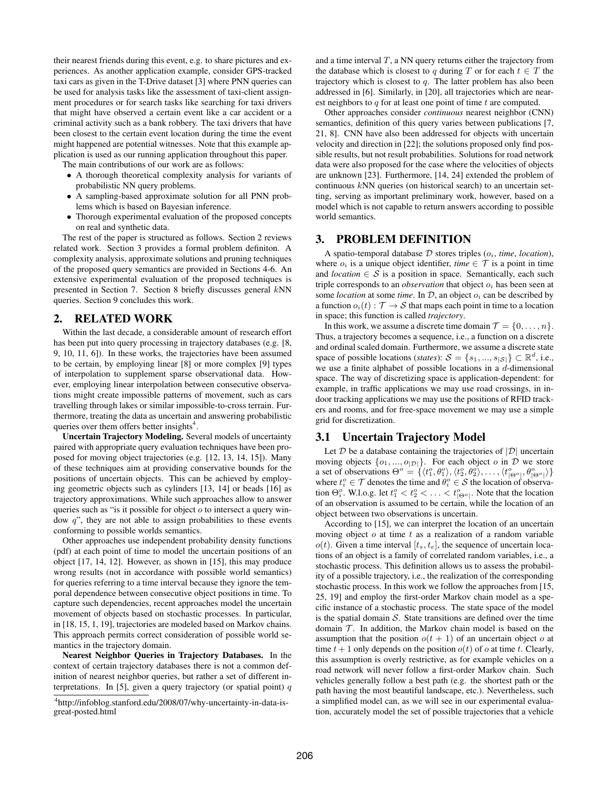their nearest friends during this event, e.g. to share pictures and experiences. As another application example, consider GPS-tracked taxi cars as given in the T-Drive dataset [3] where PNN queries can be used for analysis tasks like the assessment of taxi-client assignment procedures or for search tasks like searching for taxi drivers that might have observed a certain event like a car accident or a criminal activity such as a bank robbery. The taxi drivers that have been closest to the certain event location during the time the event might happened are potential witnesses. Note that this example application is used as our running application throughout this paper.

The main contributions of our work are as follows:

- A thorough theoretical complexity analysis for variants of probabilistic NN query problems.
- A sampling-based approximate solution for all PNN problems which is based on Bayesian inference.
- Thorough experimental evaluation of the proposed concepts on real and synthetic data.

The rest of the paper is structured as follows. Section 2 reviews related work. Section 3 provides a formal problem definiton. A complexity analysis, approximate solutions and pruning techniques of the proposed query semantics are provided in Sections 4-6. An extensive experimental evaluation of the proposed techniques is presented in Section 7. Section 8 briefly discusses general kNN queries. Section 9 concludes this work.

## 2. RELATED WORK

Within the last decade, a considerable amount of research effort has been put into query processing in trajectory databases (e.g. [8, 9, 10, 11, 6]). In these works, the trajectories have been assumed to be certain, by employing linear [8] or more complex [9] types of interpolation to supplement sparse observational data. However, employing linear interpolation between consecutive observations might create impossible patterns of movement, such as cars travelling through lakes or similar impossible-to-cross terrain. Furthermore, treating the data as uncertain and answering probabilistic queries over them offers better insights $4$ .

Uncertain Trajectory Modeling. Several models of uncertainty paired with appropriate query evaluation techniques have been proposed for moving object trajectories (e.g. [12, 13, 14, 15]). Many of these techniques aim at providing conservative bounds for the positions of uncertain objects. This can be achieved by employing geometric objects such as cylinders [13, 14] or beads [16] as trajectory approximations. While such approaches allow to answer queries such as "is it possible for object  $o$  to intersect a query window  $q$ ", they are not able to assign probabilities to these events conforming to possible worlds semantics.

Other approaches use independent probability density functions (pdf) at each point of time to model the uncertain positions of an object [17, 14, 12]. However, as shown in [15], this may produce wrong results (not in accordance with possible world semantics) for queries referring to a time interval because they ignore the temporal dependence between consecutive object positions in time. To capture such dependencies, recent approaches model the uncertain movement of objects based on stochastic processes. In particular, in [18, 15, 1, 19], trajectories are modeled based on Markov chains. This approach permits correct consideration of possible world semantics in the trajectory domain.

Nearest Neighbor Queries in Trajectory Databases. In the context of certain trajectory databases there is not a common definition of nearest neighbor queries, but rather a set of different interpretations. In [5], given a query trajectory (or spatial point)  $q$  and a time interval  $T$ , a NN query returns either the trajectory from the database which is closest to q during T or for each  $t \in T$  the trajectory which is closest to  $q$ . The latter problem has also been addressed in [6]. Similarly, in [20], all trajectories which are nearest neighbors to  $q$  for at least one point of time  $t$  are computed.

Other approaches consider *continuous* nearest neighbor (CNN) semantics, definition of this query varies between publications [7, 21, 8]. CNN have also been addressed for objects with uncertain velocity and direction in [22]; the solutions proposed only find possible results, but not result probabilities. Solutions for road network data were also proposed for the case where the velocities of objects are unknown [23]. Furthermore, [14, 24] extended the problem of continuous kNN queries (on historical search) to an uncertain setting, serving as important preliminary work, however, based on a model which is not capable to return answers according to possible world semantics.

## 3. PROBLEM DEFINITION

A spatio-temporal database  $D$  stores triples  $(o_i, time, location)$ , where  $o_i$  is a unique object identifier, *time*  $\in \mathcal{T}$  is a point in time and *location*  $\in S$  is a position in space. Semantically, each such triple corresponds to an *observation* that object  $o_i$  has been seen at some *location* at some *time*. In  $D$ , an object  $o_i$  can be described by a function  $o_i(t) : \mathcal{T} \to \mathcal{S}$  that maps each point in time to a location in space; this function is called *trajectory*.

In this work, we assume a discrete time domain  $\mathcal{T} = \{0, \ldots, n\}.$ Thus, a trajectory becomes a sequence, i.e., a function on a discrete and ordinal scaled domain. Furthermore, we assume a discrete state space of possible locations (*states*):  $S = \{s_1, ..., s_{|S|}\} \subset \mathbb{R}^d$ , i.e., we use a finite alphabet of possible locations in a d-dimensional space. The way of discretizing space is application-dependent: for example, in traffic applications we may use road crossings, in indoor tracking applications we may use the positions of RFID trackers and rooms, and for free-space movement we may use a simple grid for discretization.

# 3.1 Uncertain Trajectory Model

Let  $D$  be a database containing the trajectories of  $|D|$  uncertain moving objects  $\{o_1, ..., o_{|\mathcal{D}|}\}.$  For each object  $o$  in  $\mathcal{D}$  we store a set of observations  $\Theta^o = \{ \langle t_1^o, \theta_1^o \rangle, \langle t_2^o, \theta_2^o \rangle, \dots, \langle t_{|\Theta^o|}^o, \theta_{|\Theta^o|}^o \rangle \}$ where  $t_i^o \in \mathcal{T}$  denotes the time and  $\theta_i^o \in \mathcal{S}$  the location of observation  $\Theta_i^o$ . W.l.o.g. let  $t_1^o < t_2^o < \ldots < t_{|\Theta^o|}^o$ . Note that the location of an observation is assumed to be certain, while the location of an object between two observations is uncertain.

According to [15], we can interpret the location of an uncertain moving object  $o$  at time  $t$  as a realization of a random variable  $o(t)$ . Given a time interval [ $t_s, t_e$ ], the sequence of uncertain locations of an object is a family of correlated random variables, i.e., a stochastic process. This definition allows us to assess the probability of a possible trajectory, i.e., the realization of the corresponding stochastic process. In this work we follow the approaches from [15, 25, 19] and employ the first-order Markov chain model as a specific instance of a stochastic process. The state space of the model is the spatial domain  $S$ . State transitions are defined over the time domain  $T$ . In addition, the Markov chain model is based on the assumption that the position  $o(t + 1)$  of an uncertain object o at time  $t + 1$  only depends on the position  $o(t)$  of o at time t. Clearly, this assumption is overly restrictive, as for example vehicles on a road network will never follow a first-order Markov chain. Such vehicles generally follow a best path (e.g. the shortest path or the path having the most beautiful landscape, etc.). Nevertheless, such a simplified model can, as we will see in our experimental evaluation, accurately model the set of possible trajectories that a vehicle

<sup>4</sup> http://infoblog.stanford.edu/2008/07/why-uncertainty-in-data-isgreat-posted.html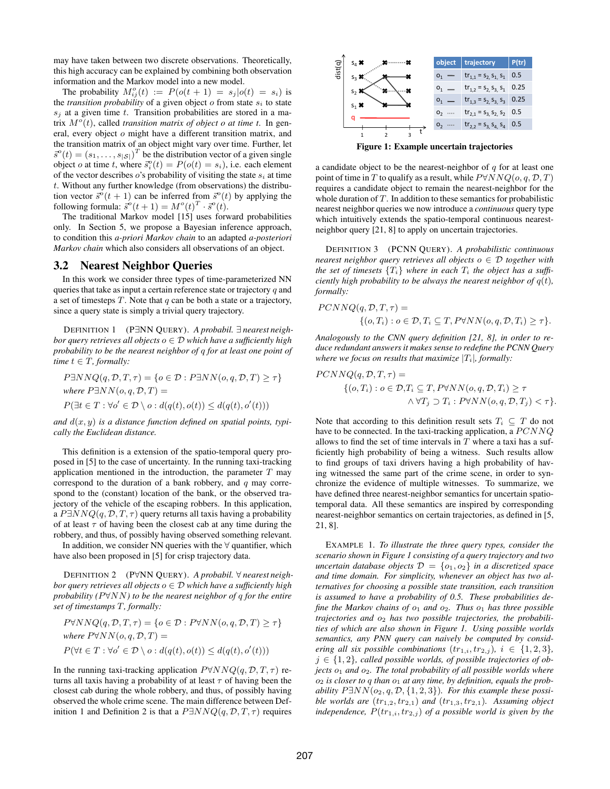may have taken between two discrete observations. Theoretically, this high accuracy can be explained by combining both observation information and the Markov model into a new model.

The probability  $M_{ij}^o(t) := P(o(t + 1) = s_j | o(t) = s_i)$  is the *transition probability* of a given object  $\sigma$  from state  $s_i$  to state  $s_i$  at a given time t. Transition probabilities are stored in a matrix  $M^{\circ}(t)$ , called *transition matrix of object o at time t*. In general, every object o might have a different transition matrix, and the transition matrix of an object might vary over time. Further, let  $\vec{s}^{\circ}(t) = (s_1, \ldots, s_{|\mathcal{S}|})^T$  be the distribution vector of a given single object *o* at time *t*, where  $\bar{s}_i^o(t) = P(o(t) = s_i)$ , i.e. each element of the vector describes  $\vec{o}$ 's probability of visiting the state  $s_i$  at time t. Without any further knowledge (from observations) the distribution vector  $\bar{s}^{\circ}(t+1)$  can be inferred from  $\bar{s}^{\circ}(t)$  by applying the following formula:  $\vec{s}^{\circ}(t+1) = M^{\circ}(t)^{T} \cdot \vec{s}^{\circ}(t)$ .

The traditional Markov model [15] uses forward probabilities only. In Section 5, we propose a Bayesian inference approach, to condition this *a-priori Markov chain* to an adapted *a-posteriori Markov chain* which also considers all observations of an object.

#### 3.2 Nearest Neighbor Queries

In this work we consider three types of time-parameterized NN queries that take as input a certain reference state or trajectory  $q$  and a set of timesteps  $T$ . Note that  $q$  can be both a state or a trajectory, since a query state is simply a trivial query trajectory.

DEFINITION 1 (P∃NN QUERY). *A probabil.* ∃ *nearest neighbor query retrieves all objects* o ∈ D *which have a sufficiently high probability to be the nearest neighbor of* q *for at least one point of time*  $t \in T$ *, formally:* 

$$
P\exists NNQ(q, \mathcal{D}, T, \tau) = \{o \in \mathcal{D} : P\exists NN(o, q, \mathcal{D}, T) \geq \tau\}
$$
  
where 
$$
P\exists NN(o, q, \mathcal{D}, T) =
$$
  

$$
P(\exists t \in T : \forall o' \in \mathcal{D} \setminus o : d(q(t), o(t)) \leq d(q(t), o'(t)))
$$

and  $d(x, y)$  is a distance function defined on spatial points, typi*cally the Euclidean distance.*

This definition is a extension of the spatio-temporal query proposed in [5] to the case of uncertainty. In the running taxi-tracking application mentioned in the introduction, the parameter  $T$  may correspond to the duration of a bank robbery, and  $q$  may correspond to the (constant) location of the bank, or the observed trajectory of the vehicle of the escaping robbers. In this application, a  $P\exists NNQ(q, \mathcal{D}, T, \tau)$  query returns all taxis having a probability of at least  $\tau$  of having been the closest cab at any time during the robbery, and thus, of possibly having observed something relevant.

In addition, we consider NN queries with the  $\forall$  quantifier, which have also been proposed in [5] for crisp trajectory data.

DEFINITION 2 (P∀NN QUERY). *A probabil.* ∀ *nearest neighbor query retrieves all objects* o ∈ D *which have a sufficiently high probability (*P∀NN*) to be the nearest neighbor of* q *for the entire set of timestamps* T*, formally:*

$$
P\forall NNQ(q, D, T, \tau) = \{o \in D : P\forall NN(o, q, D, T) \geq \tau\}
$$
  
where 
$$
P\forall NN(o, q, D, T) =
$$
  

$$
P(\forall t \in T : \forall o' \in D \setminus o : d(q(t), o(t)) \leq d(q(t), o'(t)))
$$

In the running taxi-tracking application  $P\forall NNQ(q, \mathcal{D}, T, \tau)$  returns all taxis having a probability of at least  $\tau$  of having been the closest cab during the whole robbery, and thus, of possibly having observed the whole crime scene. The main difference between Definition 1 and Definition 2 is that a  $P\exists NNQ(q, \mathcal{D}, T, \tau)$  requires



a candidate object to be the nearest-neighbor of  $q$  for at least one point of time in T to qualify as a result, while  $P\forall NNQ(o,q,\mathcal{D},T)$ requires a candidate object to remain the nearest-neighbor for the whole duration of  $T$ . In addition to these semantics for probabilistic nearest neighbor queries we now introduce a *continuous* query type which intuitively extends the spatio-temporal continuous nearestneighbor query [21, 8] to apply on uncertain trajectories.

DEFINITION 3 (PCNN QUERY). *A probabilistic continuous nearest neighbor query retrieves all objects*  $o \in \mathcal{D}$  *together with the set of timesets*  ${T_i}$  *where in each*  $T_i$  *the object has a sufficiently high probability to be always the nearest neighbor of*  $q(t)$ *, formally:*

$$
PCNNQ(q, \mathcal{D}, T, \tau) =
$$
  
{ $(o, T_i) : o \in \mathcal{D}, T_i \subseteq T, P \forall NN(o, q, \mathcal{D}, T_i) \geq \tau$ }.

*Analogously to the CNN query definition [21, 8], in order to reduce redundant answers it makes sense to redefine the PCNN Query where we focus on results that maximize*  $|T_i|$ *, formally:* 

$$
PCNNQ(q, \mathcal{D}, T, \tau) =
$$
  
\n
$$
\{(o, T_i) : o \in \mathcal{D}, T_i \subseteq T, P\forall NN(o, q, \mathcal{D}, T_i) \geq \tau
$$
  
\n
$$
\land \forall T_j \supset T_i : P\forall NN(o, q, \mathcal{D}, T_j) < \tau\}.
$$

Note that according to this definition result sets  $T_i \subseteq T$  do not have to be connected. In the taxi-tracking application, a  $PCNNQ$ allows to find the set of time intervals in  $T$  where a taxi has a sufficiently high probability of being a witness. Such results allow to find groups of taxi drivers having a high probability of having witnessed the same part of the crime scene, in order to synchronize the evidence of multiple witnesses. To summarize, we have defined three nearest-neighbor semantics for uncertain spatiotemporal data. All these semantics are inspired by corresponding nearest-neighbor semantics on certain trajectories, as defined in [5, 21, 8].

EXAMPLE 1. *To illustrate the three query types, consider the scenario shown in Figure 1 consisting of a query trajectory and two uncertain database objects*  $D = \{o_1, o_2\}$  *in a discretized space and time domain. For simplicity, whenever an object has two alternatives for choosing a possible state transition, each transition is assumed to have a probability of 0.5. These probabilities define the Markov chains of*  $o_1$  *and*  $o_2$ *. Thus*  $o_1$  *has three possible trajectories and*  $o_2$  *has two possible trajectories, the probabilities of which are also shown in Figure 1. Using possible worlds semantics, any PNN query can naively be computed by considering all six possible combinations*  $(tr_{1,i}, tr_{2,j})$ ,  $i \in \{1,2,3\}$ ,  $j \in \{1, 2\}$ , called possible worlds, of possible trajectories of ob*jects*  $o_1$  *and*  $o_2$ *. The total probability of all possible worlds where*  $o_2$  *is closer to q than*  $o_1$  *at any time, by definition, equals the probability*  $P\exists NN(o_2, q, \mathcal{D}, \{1, 2, 3\})$ *. For this example these possible worlds are*  $(tr_{1,2}, tr_{2,1})$  *and*  $(tr_{1,3}, tr_{2,1})$ *. Assuming object independence,*  $P(tr_{1,i}, tr_{2,j})$  *of a possible world is given by the*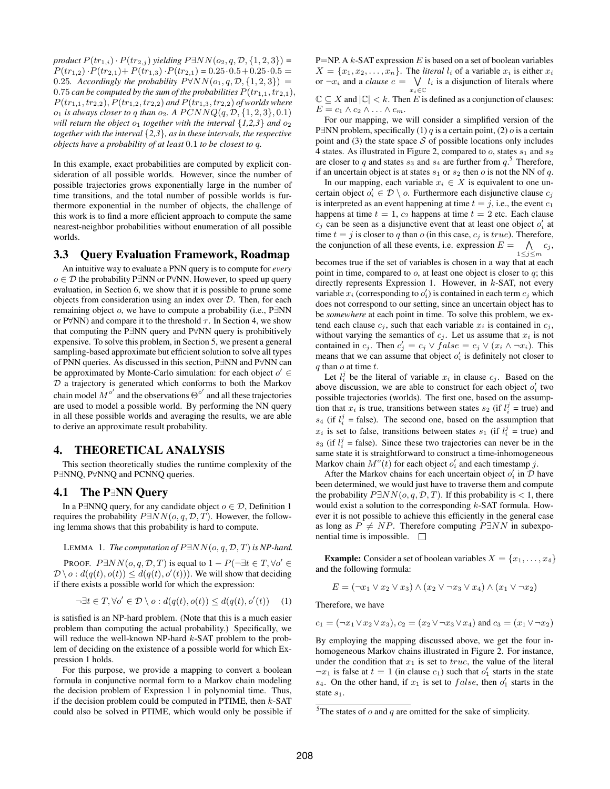*product*  $P(tr_{1,i}) \cdot P(tr_{2,j})$  *yielding*  $P \exists NN(o_2, q, \mathcal{D}, \{1, 2, 3\}) =$  $P(tr_{1,2}) \cdot P(tr_{2,1}) + P(tr_{1,3}) \cdot P(tr_{2,1}) = 0.25 \cdot 0.5 + 0.25 \cdot 0.5 =$ 0.25*.* Accordingly the probability  $P\forall NN(o_1, q, \mathcal{D}, \{1, 2, 3\}) =$ 0.75 can be computed by the sum of the probabilities  $P(tr_{1,1}, tr_{2,1}),$  $P(tr_{1,1}, tr_{2,2}), P(tr_{1,2}, tr_{2,2})$  *and*  $P(tr_{1,3}, tr_{2,2})$  *of worlds where*  $o_1$  *is always closer to q than*  $o_2$ *. A PCNNQ(q, D, {1, 2, 3}, 0.1) will return the object*  $o_1$  *together with the interval*  $\{1,2,3\}$  *and*  $o_2$ *together with the interval* {*2,3*}*, as in these intervals, the respective objects have a probability of at least* 0.1 *to be closest to* q*.*

In this example, exact probabilities are computed by explicit consideration of all possible worlds. However, since the number of possible trajectories grows exponentially large in the number of time transitions, and the total number of possible worlds is furthermore exponential in the number of objects, the challenge of this work is to find a more efficient approach to compute the same nearest-neighbor probabilities without enumeration of all possible worlds.

#### 3.3 Query Evaluation Framework, Roadmap

An intuitive way to evaluate a PNN query is to compute for *every*  $o \in \mathcal{D}$  the probability P∃NN or P $\forall$ NN. However, to speed up query evaluation, in Section 6, we show that it is possible to prune some objects from consideration using an index over  $D$ . Then, for each remaining object o, we have to compute a probability (i.e., P∃NN or P $\forall NN$ ) and compare it to the threshold  $\tau$ . In Section 4, we show that computing the P∃NN query and P∀NN query is prohibitively expensive. To solve this problem, in Section 5, we present a general sampling-based approximate but efficient solution to solve all types of PNN queries. As discussed in this section, P∃NN and P∀NN can be approximated by Monte-Carlo simulation: for each object  $o' \in$  $D$  a trajectory is generated which conforms to both the Markov chain model  $M^{o'}$  and the observations  $\Theta^{o'}$  and all these trajectories are used to model a possible world. By performing the NN query in all these possible worlds and averaging the results, we are able to derive an approximate result probability.

## 4. THEORETICAL ANALYSIS

This section theoretically studies the runtime complexity of the P∃NNQ, P∀NNQ and PCNNQ queries.

# 4.1 The P∃NN Query

In a P∃NNQ query, for any candidate object  $o \in \mathcal{D}$ , Definition 1 requires the probability  $P\exists NN(o,q,\mathcal{D},T)$ . However, the following lemma shows that this probability is hard to compute.

LEMMA 1. *The computation of* P∃NN(o, q, D, T)*is NP-hard.*

PROOF.  $P\exists NN(o, q, \mathcal{D}, T)$  is equal to  $1 - P(\neg \exists t \in T, \forall o' \in T)$  $\mathcal{D} \setminus o : d(q(t), o(t)) \leq d(q(t), o'(t))$ . We will show that deciding if there exists a possible world for which the expression:

$$
\neg \exists t \in T, \forall o' \in \mathcal{D} \setminus o : d(q(t), o(t)) \leq d(q(t), o'(t)) \quad (1)
$$

is satisfied is an NP-hard problem. (Note that this is a much easier problem than computing the actual probability.) Specifically, we will reduce the well-known NP-hard k-SAT problem to the problem of deciding on the existence of a possible world for which Expression 1 holds.

For this purpose, we provide a mapping to convert a boolean formula in conjunctive normal form to a Markov chain modeling the decision problem of Expression 1 in polynomial time. Thus, if the decision problem could be computed in PTIME, then  $k$ -SAT could also be solved in PTIME, which would only be possible if P=NP. A  $k$ -SAT expression  $E$  is based on a set of boolean variables  $X = \{x_1, x_2, \ldots, x_n\}$ . The *literal*  $l_i$  of a variable  $x_i$  is either  $x_i$ or  $\neg x_i$  and a *clause*  $c = \bigvee$  $\bigvee_{x_i \in \mathbb{C}} l_i$  is a disjunction of literals where  $\mathbb{C} \subseteq X$  and  $|\mathbb{C}| < k$ . Then E is defined as a conjunction of clauses:  $E = c_1 \wedge c_2 \wedge \ldots \wedge c_m.$ 

For our mapping, we will consider a simplified version of the P∃NN problem, specifically (1)  $q$  is a certain point, (2)  $o$  is a certain point and (3) the state space  $S$  of possible locations only includes 4 states. As illustrated in Figure 2, compared to  $o$ , states  $s_1$  and  $s_2$ are closer to q and states  $s_3$  and  $s_4$  are further from  $q<sup>5</sup>$ . Therefore, if an uncertain object is at states  $s_1$  or  $s_2$  then o is not the NN of q.

In our mapping, each variable  $x_i \in X$  is equivalent to one uncertain object  $o'_i \in \mathcal{D} \setminus o$ . Furthermore each disjunctive clause  $c_j$ is interpreted as an event happening at time  $t = j$ , i.e., the event  $c_1$ happens at time  $t = 1$ ,  $c_2$  happens at time  $t = 2$  etc. Each clause  $c_j$  can be seen as a disjunctive event that at least one object  $o'_i$  at time  $t = j$  is closer to q than o (in this case,  $c_j$  is true). Therefore, the conjunction of all these events, i.e. expression  $E = \bigwedge_{i=1}^{\infty} c_i$ ,  $1\leq j\leq m$ 

becomes true if the set of variables is chosen in a way that at each point in time, compared to  $o$ , at least one object is closer to  $q$ ; this directly represents Expression 1. However, in k-SAT, not every variable  $x_i$  (corresponding to  $o'_i$ ) is contained in each term  $c_j$  which does not correspond to our setting, since an uncertain object has to be *somewhere* at each point in time. To solve this problem, we extend each clause  $c_j$ , such that each variable  $x_i$  is contained in  $c_j$ , without varying the semantics of  $c_j$ . Let us assume that  $x_i$  is not contained in  $c_j$ . Then  $c'_j = c_j \vee false = c_j \vee (x_i \wedge \neg x_i)$ . This means that we can assume that object  $o_i$  is definitely not closer to  $q$  than  $o$  at time  $t$ .

Let  $l_i^j$  be the literal of variable  $x_i$  in clause  $c_j$ . Based on the above discussion, we are able to construct for each object  $o'_i$  two possible trajectories (worlds). The first one, based on the assumption that  $x_i$  is true, transitions between states  $s_2$  (if  $l_i^j$  = true) and  $s_4$  (if  $l_i^j$  = false). The second one, based on the assumption that  $x_i$  is set to false, transitions between states  $s_1$  (if  $l_i^j$  = true) and  $s_3$  (if  $l_i^j$  = false). Since these two trajectories can never be in the same state it is straightforward to construct a time-inhomogeneous Markov chain  $M^o(t)$  for each object  $o'_i$  and each timestamp j.

After the Markov chains for each uncertain object  $o'_i$  in  $D$  have been determined, we would just have to traverse them and compute the probability  $P\exists NN(o, q, \mathcal{D}, T)$ . If this probability is < 1, there would exist a solution to the corresponding  $k$ -SAT formula. However it is not possible to achieve this efficiently in the general case as long as  $P \neq NP$ . Therefore computing  $P\exists NN$  in subexponential time is impossible.  $\Box$ 

**Example:** Consider a set of boolean variables  $X = \{x_1, \ldots, x_4\}$ and the following formula:

$$
E = (\neg x_1 \lor x_2 \lor x_3) \land (x_2 \lor \neg x_3 \lor x_4) \land (x_1 \lor \neg x_2)
$$

Therefore, we have

$$
c_1 = (\neg x_1 \lor x_2 \lor x_3), c_2 = (x_2 \lor \neg x_3 \lor x_4)
$$
 and  $c_3 = (x_1 \lor \neg x_2)$ 

By employing the mapping discussed above, we get the four inhomogeneous Markov chains illustrated in Figure 2. For instance, under the condition that  $x_1$  is set to  $true$ , the value of the literal  $\neg x_1$  is false at  $t = 1$  (in clause  $c_1$ ) such that  $o'_1$  starts in the state  $s_4$ . On the other hand, if  $x_1$  is set to  $false$ , then  $o'_1$  starts in the state  $s_1$ .

<sup>&</sup>lt;sup>5</sup>The states of  $o$  and  $q$  are omitted for the sake of simplicity.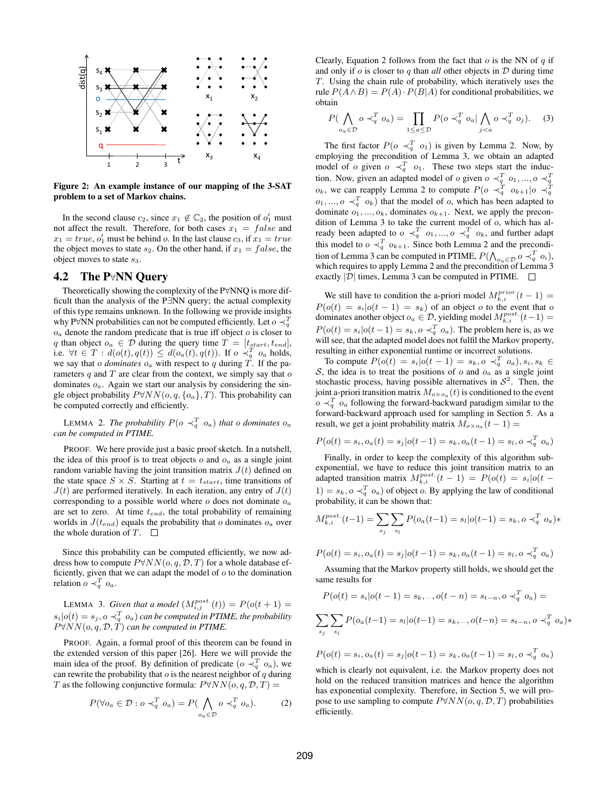

Figure 2: An example instance of our mapping of the 3-SAT problem to a set of Markov chains.

In the second clause  $c_2$ , since  $x_1 \notin \mathbb{C}_2$ , the position of  $o'_1$  must not affect the result. Therefore, for both cases  $x_1 = false$  and  $x_1 = true, o'_1$  must be behind o. In the last clause  $c_3$ , if  $x_1 = true$ the object moves to state  $s_2$ . On the other hand, if  $x_1 = false$ , the object moves to state  $s_3$ .

#### 4.2 The P∀NN Query

Theoretically showing the complexity of the P∀NNQ is more difficult than the analysis of the P∃NN query; the actual complexity of this type remains unknown. In the following we provide insights why P $\forall$ NN probabilities can not be computed efficiently. Let  $o \prec_q^T$  $o_a$  denote the random predicate that is true iff object  $o$  is closer to q than object  $o_a \in \mathcal{D}$  during the query time  $T = [t_{start}, t_{end}]$ , i.e.  $\forall t \in T : d(o(t), q(t)) \leq d(o_a(t), q(t))$ . If  $o \prec_q^T o_a$  holds, we say that o *dominates* o<sup>a</sup> with respect to q during T. If the parameters  $q$  and  $T$  are clear from the context, we simply say that  $q$ dominates  $o_a$ . Again we start our analysis by considering the single object probability  $P\forall NN(o,q,\{o_a\},T)$ . This probability can be computed correctly and efficiently.

LEMMA 2. *The probability*  $P(o \prec_q^T o_a)$  *that* o *dominates*  $o_a$ *can be computed in PTIME.*

PROOF. We here provide just a basic proof sketch. In a nutshell, the idea of this proof is to treat objects  $o$  and  $o_a$  as a single joint random variable having the joint transition matrix  $J(t)$  defined on the state space  $S \times S$ . Starting at  $t = t_{start}$ , time transitions of  $J(t)$  are performed iteratively. In each iteration, any entry of  $J(t)$ corresponding to a possible world where  $o$  does not dominate  $o_a$ are set to zero. At time  $t_{end}$ , the total probability of remaining worlds in  $J(t_{end})$  equals the probability that o dominates  $o_a$  over the whole duration of  $T$ .  $\Box$ 

Since this probability can be computed efficiently, we now address how to compute  $P\forall NN(o,q,\mathcal{D},T)$  for a whole database efficiently, given that we can adapt the model of  $o$  to the domination relation  $o \prec_q^T o_a$ .

LEMMA 3. *Given that a model*  $(M_{i,j}^{post.}(t)) = P(o(t + 1))$  $s_i|o(t) = s_j, o \prec_q^T o_a)$  *can be computed in PTIME, the probability* P∀NN(o, q, D, T) *can be computed in PTIME.*

PROOF. Again, a formal proof of this theorem can be found in the extended version of this paper [26]. Here we will provide the main idea of the proof. By definition of predicate  $(\sigma \prec_q^T o_a)$ , we can rewrite the probability that  $o$  is the nearest neighbor of  $q$  during T as the following conjunctive formula:  $P\forall NN(o,q,\mathcal{D},T) =$ 

$$
P(\forall o_a \in \mathcal{D} : o \prec_q^T o_a) = P(\bigwedge_{o_a \in \mathcal{D}} o \prec_q^T o_a).
$$
 (2)

Clearly, Equation 2 follows from the fact that  $\sigma$  is the NN of  $q$  if and only if  $o$  is closer to  $q$  than *all* other objects in  $D$  during time T. Using the chain rule of probability, which iteratively uses the rule  $P(A \wedge B) = P(A) \cdot P(B|A)$  for conditional probabilities, we obtain

$$
P(\bigwedge_{o_a \in \mathcal{D}} o \prec_q^T o_a) = \prod_{1 \le a \le \mathcal{D}} P(o \prec_q^T o_a | \bigwedge_{j < a} o \prec_q^T o_j). \tag{3}
$$

The first factor  $P(o \prec_q^T o_1)$  is given by Lemma 2. Now, by employing the precondition of Lemma 3, we obtain an adapted model of o given  $o \prec_q^T o_1$ . These two steps start the induction. Now, given an adapted model of  $o$  given  $o \prec_q^T o_1, ..., o \prec_q^T o_k$ , we can reapply Lemma 2 to compute  $P(o \prec_q^T o_{k+1}|o \prec_q^T o_1, ..., o \prec_q^T o_k)$  that the model of  $o$ , which has been adapted to dominate  $o_1, ..., o_k$ , dominates  $o_{k+1}$ . Next, we apply the precondition of Lemma 3 to take the current model of o, which has already been adapted to  $o \prec_q^T o_1, ..., o \prec_q^T o_k$ , and further adapt this model to  $o \prec_q^T o_{k+1}$ . Since both Lemma 2 and the precondition of Lemma 3 can be computed in PTIME,  $P(\bigwedge_{o_a \in \mathcal{D}} o \prec_q^T o_i)$ , which requires to apply Lemma 2 and the precondition of Lemma 3 exactly  $|\mathcal{D}|$  times, Lemma 3 can be computed in PTIME.  $\Box$ 

We still have to condition the a-priori model  $M_{k,i}^{prior}(t-1) =$  $P(o(t) = s_i|o(t-1) = s_k)$  of an object o to the event that o dominates another object  $o_a \in \mathcal{D}$ , yielding model  $M_{k,i}^{post.}(t-1) =$  $P(o(t) = s_i|o(t-1) = s_k, o \prec_q^T o_a)$ . The problem here is, as we will see, that the adapted model does not fulfil the Markov property, resulting in either exponential runtime or incorrect solutions.

To compute  $P(o(\overline{t}) = s_i | o(t-1) = s_k, o \prec_q^T o_a), s_i, s_k \in$ S, the idea is to treat the positions of  $o$  and  $o_a$  as a single joint stochastic process, having possible alternatives in  $S^2$ . Then, the joint a-priori transition matrix  $M_{o \times o_a}(t)$  is conditioned to the event  $\alpha \prec_q^T o_a$  following the forward-backward paradigm similar to the forward-backward approach used for sampling in Section 5. As a result, we get a joint probability matrix  $M_{o \times o_a}(t-1) =$ 

$$
P(o(t) = s_i, o_a(t) = s_j | o(t-1) = s_k, o_a(t-1) = s_l, o \prec_q^T o_a)
$$

Finally, in order to keep the complexity of this algorithm subexponential, we have to reduce this joint transition matrix to an adapted transition matrix  $M_{k,i}^{post.}(t-1) = P(o(t) = s_i|o(t-1))$  $1) = s_k$ ,  $o \prec_q^T o_a$ ) of object *o*. By applying the law of conditional probability, it can be shown that:

$$
M_{k,i}^{post.}(t-1) = \sum_{s_j} \sum_{s_l} P(o_a(t-1) = s_l | o(t-1) = s_k, o \prec_q^T o_a) *
$$

$$
P(o(t) = s_i, o_a(t) = s_j | o(t-1) = s_k, o_a(t-1) = s_l, o \prec_q^T o_a)
$$

Assuming that the Markov property still holds, we should get the same results for

$$
P(o(t) = s_i | o(t-1) = s_k, ..., o(t-n) = s_{t-n}, o \prec_q^T o_a) =
$$
  

$$
\sum_{n} \sum_{n} P(o_a(t-1) = s_i | o(t-1) = s_k, ..., o(t-n) = s_{t-n}, o \prec_q^T o_a) *
$$

$$
s_j \quad s_l
$$

$$
P(o(t) = s_i, o_a(t) = s_j | o(t-1) = s_k, o_a(t-1) = s_l, o \prec_q^T o_a)
$$

which is clearly not equivalent, i.e. the Markov property does not hold on the reduced transition matrices and hence the algorithm has exponential complexity. Therefore, in Section 5, we will propose to use sampling to compute  $P\forall NN(o,q,\mathcal{D},T)$  probabilities efficiently.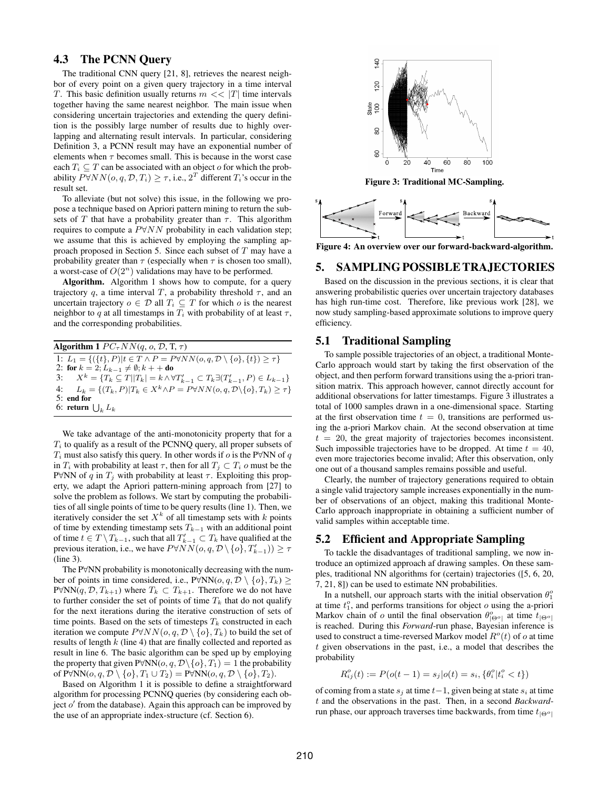# 4.3 The PCNN Query

The traditional CNN query [21, 8], retrieves the nearest neighbor of every point on a given query trajectory in a time interval T. This basic definition usually returns  $m \ll |T|$  time intervals together having the same nearest neighbor. The main issue when considering uncertain trajectories and extending the query definition is the possibly large number of results due to highly overlapping and alternating result intervals. In particular, considering Definition 3, a PCNN result may have an exponential number of elements when  $\tau$  becomes small. This is because in the worst case each  $T_i \subseteq T$  can be associated with an object o for which the probability  $P\forall NN(o,q,\mathcal{D},T_i) \geq \tau$ , i.e.,  $2^T$  different  $T_i$ 's occur in the result set.

To alleviate (but not solve) this issue, in the following we propose a technique based on Apriori pattern mining to return the subsets of T that have a probability greater than  $\tau$ . This algorithm requires to compute a  $P\forall NN$  probability in each validation step; we assume that this is achieved by employing the sampling approach proposed in Section 5. Since each subset of  $T$  may have a probability greater than  $\tau$  (especially when  $\tau$  is chosen too small), a worst-case of  $O(2^n)$  validations may have to be performed.

Algorithm. Algorithm 1 shows how to compute, for a query trajectory q, a time interval T, a probability threshold  $\tau$ , and an uncertain trajectory  $o \in \mathcal{D}$  all  $T_i \subseteq T$  for which  $o$  is the nearest neighbor to q at all timestamps in  $T_i$  with probability of at least  $\tau$ , and the corresponding probabilities.

We take advantage of the anti-monotonicity property that for a  $T_i$  to qualify as a result of the PCNNQ query, all proper subsets of  $T_i$  must also satisfy this query. In other words if o is the P $\forall NN$  of q in  $T_i$  with probability at least  $\tau$ , then for all  $T_i \subset T_i$  o must be the P∀NN of q in  $T_i$  with probability at least  $\tau$ . Exploiting this property, we adapt the Apriori pattern-mining approach from [27] to solve the problem as follows. We start by computing the probabilities of all single points of time to be query results (line 1). Then, we iteratively consider the set  $X^k$  of all timestamp sets with k points of time by extending timestamp sets  $T_{k-1}$  with an additional point of time  $t \in T \setminus T_{k-1}$ , such that all  $T'_{k-1} \subset T_k$  have qualified at the previous iteration, i.e., we have  $P\forall NN(o,q, \mathcal{D}\setminus\{o\}, T'_{k-1})) \geq \tau$ (line 3).

The P∀NN probability is monotonically decreasing with the number of points in time considered, i.e.,  $P\forall NN(o,q,\mathcal{D}\setminus\{o\},T_k) \geq$ P∀NN(q,  $\mathcal{D}, T_{k+1}$ ) where  $T_k \subset T_{k+1}$ . Therefore we do not have to further consider the set of points of time  $T_k$  that do not qualify for the next iterations during the iterative construction of sets of time points. Based on the sets of timesteps  $T_k$  constructed in each iteration we compute  $P\forall NN(o,q,\mathcal{D}\setminus\{o\},T_k)$  to build the set of results of length  $k$  (line 4) that are finally collected and reported as result in line 6. The basic algorithm can be sped up by employing the property that given P $\forall NN(o, q, \mathcal{D}\setminus\{o\}, T_1) = 1$  the probability of  $P\forall NN(o,q,\mathcal{D}\setminus\{o\},T_1\cup T_2)=P\forall NN(o,q,\mathcal{D}\setminus\{o\},T_2).$ 

Based on Algorithm 1 it is possible to define a straightforward algorithm for processing PCNNQ queries (by considering each object  $o'$  from the database). Again this approach can be improved by the use of an appropriate index-structure (cf. Section 6).



Figure 3: Traditional MC-Sampling.



Figure 4: An overview over our forward-backward-algorithm.

# 5. SAMPLING POSSIBLE TRAJECTORIES

Based on the discussion in the previous sections, it is clear that answering probabilistic queries over uncertain trajectory databases has high run-time cost. Therefore, like previous work [28], we now study sampling-based approximate solutions to improve query efficiency.

## 5.1 Traditional Sampling

To sample possible trajectories of an object, a traditional Monte-Carlo approach would start by taking the first observation of the object, and then perform forward transitions using the a-priori transition matrix. This approach however, cannot directly account for additional observations for latter timestamps. Figure 3 illustrates a total of 1000 samples drawn in a one-dimensional space. Starting at the first observation time  $t = 0$ , transitions are performed using the a-priori Markov chain. At the second observation at time  $t = 20$ , the great majority of trajectories becomes inconsistent. Such impossible trajectories have to be dropped. At time  $t = 40$ , even more trajectories become invalid; After this observation, only one out of a thousand samples remains possible and useful.

Clearly, the number of trajectory generations required to obtain a single valid trajectory sample increases exponentially in the number of observations of an object, making this traditional Monte-Carlo approach inappropriate in obtaining a sufficient number of valid samples within acceptable time.

#### 5.2 Efficient and Appropriate Sampling

To tackle the disadvantages of traditional sampling, we now introduce an optimized approach af drawing samples. On these samples, traditional NN algorithms for (certain) trajectories ([5, 6, 20, 7, 21, 8]) can be used to estimate NN probabilities.

In a nutshell, our approach starts with the initial observation  $\theta_1^o$ at time  $t_1^o$ , and performs transitions for object  $o$  using the a-priori Markov chain of o until the final observation  $\theta_{|\Theta^o|}^o$  at time  $t_{|\Theta^o|}$ is reached. During this *Forward*-run phase, Bayesian inference is used to construct a time-reversed Markov model  $R^o(t)$  of  $o$  at time t given observations in the past, i.e., a model that describes the probability

$$
R_{ij}^{o}(t) := P(o(t-1) = s_j | o(t) = s_i, \{\theta_i^{o} | t_i^{o} < t\})
$$

of coming from a state  $s_j$  at time  $t-1$ , given being at state  $s_i$  at time t and the observations in the past. Then, in a second *Backward*run phase, our approach traverses time backwards, from time  $t_{|\Theta^o|}$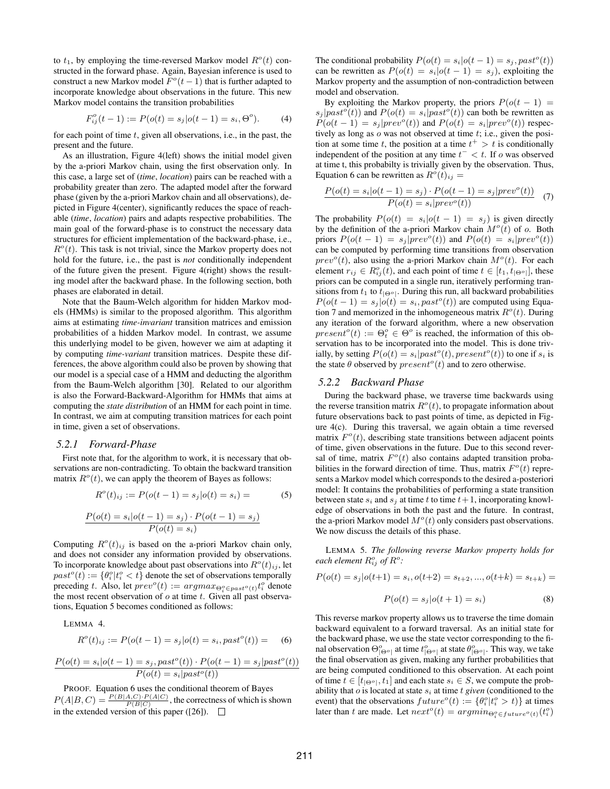to  $t_1$ , by employing the time-reversed Markov model  $R<sup>o</sup>(t)$  constructed in the forward phase. Again, Bayesian inference is used to construct a new Markov model  $F^o(t-1)$  that is further adapted to incorporate knowledge about observations in the future. This new Markov model contains the transition probabilities

$$
F_{ij}^o(t-1) := P(o(t) = s_j | o(t-1) = s_i, \Theta^o).
$$
 (4)

for each point of time  $t$ , given all observations, i.e., in the past, the present and the future.

As an illustration, Figure 4(left) shows the initial model given by the a-priori Markov chain, using the first observation only. In this case, a large set of (*time*, *location*) pairs can be reached with a probability greater than zero. The adapted model after the forward phase (given by the a-priori Markov chain and all observations), depicted in Figure 4(center), significantly reduces the space of reachable (*time*, *location*) pairs and adapts respective probabilities. The main goal of the forward-phase is to construct the necessary data structures for efficient implementation of the backward-phase, i.e.,  $R<sup>o</sup>(t)$ . This task is not trivial, since the Markov property does not hold for the future, i.e., the past is *not* conditionally independent of the future given the present. Figure 4(right) shows the resulting model after the backward phase. In the following section, both phases are elaborated in detail.

Note that the Baum-Welch algorithm for hidden Markov models (HMMs) is similar to the proposed algorithm. This algorithm aims at estimating *time-invariant* transition matrices and emission probabilities of a hidden Markov model. In contrast, we assume this underlying model to be given, however we aim at adapting it by computing *time-variant* transition matrices. Despite these differences, the above algorithm could also be proven by showing that our model is a special case of a HMM and deducting the algorithm from the Baum-Welch algorithm [30]. Related to our algorithm is also the Forward-Backward-Algorithm for HMMs that aims at computing the *state distribution* of an HMM for each point in time. In contrast, we aim at computing transition matrices for each point in time, given a set of observations.

#### *5.2.1 Forward-Phase*

First note that, for the algorithm to work, it is necessary that observations are non-contradicting. To obtain the backward transition matrix  $R<sup>o</sup>(t)$ , we can apply the theorem of Bayes as follows:

$$
R^{o}(t)_{ij} := P(o(t-1) = s_j | o(t) = s_i) =
$$
\n
$$
P(o(t) = s_i | o(t-1) = s_j) \cdot P(o(t-1) = s_j)
$$
\n
$$
P(o(t) = s_i)
$$
\n(5)

Computing  $R^o(t)_{ij}$  is based on the a-priori Markov chain only, and does not consider any information provided by observations. To incorporate knowledge about past observations into  $R^o(t)_{ij}$ , let  $past^o(t) := \{ \theta_i^o | t_i^o < t \}$  denote the set of observations temporally preceding t. Also, let  $prev^o(t) := argmax_{\Theta_i^o \in past^o(t)} t_i^o$  denote the most recent observation of  $o$  at time  $t$ . Given all past observations, Equation 5 becomes conditioned as follows:

LEMMA 4.  
\n
$$
R^{o}(t)_{ij} := P(o(t-1) = s_j|o(t) = s_i, past^{o}(t)) = (6)
$$

$$
\frac{P(o(t) = s_i|o(t-1) = s_j, past^o(t)) \cdot P(o(t-1) = s_j|past^o(t))}{P(o(t) = s_i|past^o(t))}
$$

PROOF. Equation 6 uses the conditional theorem of Bayes  $P(A|B,C) = \frac{P(B|A,C) \cdot P(A|C)}{P(B|C)}$ , the correctness of which is shown in the extended version of this paper ([26]).  $\Box$ 

The conditional probability  $P(o(t) = s_i|o(t-1) = s_j, past^o(t))$ can be rewritten as  $P(o(t) = s_i|o(t-1) = s_j)$ , exploiting the Markov property and the assumption of non-contradiction between model and observation.

By exploiting the Markov property, the priors  $P(o(t - 1)) =$  $s_j | past^o(t))$  and  $P(o(t) = s_i | past^o(t))$  can both be rewritten as  $P(o(t-1) = s_j | prev^o(t))$  and  $P(o(t) = s_i | prev^o(t))$  respectively as long as  $\alpha$  was not observed at time t; i.e., given the position at some time t, the position at a time  $t^+ > t$  is conditionally independent of the position at any time  $t^- < t$ . If o was observed at time t, this probabilty is trivially given by the observation. Thus, Equation 6 can be rewritten as  $R^o(t)_{ij} =$ 

$$
\frac{P(o(t) = s_i|o(t-1) = s_j) \cdot P(o(t-1) = s_j|prev^o(t))}{P(o(t) = s_i|prev^o(t))} \tag{7}
$$

The probability  $P(o(t) = s_i|o(t-1) = s_j)$  is given directly by the definition of the a-priori Markov chain  $M<sup>o</sup>(t)$  of o. Both priors  $P(o(t-1) = s_j | prev^o(t))$  and  $P(o(t) = s_i | prev^o(t))$ can be computed by performing time transitions from observation  $prev<sup>o</sup>(t)$ , also using the a-priori Markov chain  $M<sup>o</sup>(t)$ . For each element  $r_{ij} \in R^o_{ij}(t)$ , and each point of time  $t \in [t_1, t_{|\Theta^o|}]$ , these priors can be computed in a single run, iteratively performing transitions from  $t_1$  to  $t_{|\Theta^o|}$ . During this run, all backward probabilities  $P(o(t-1) = s_j | o(t) = s_i, past^o(t))$  are computed using Equation 7 and memorized in the inhomogeneous matrix  $R<sup>o</sup>(t)$ . During any iteration of the forward algorithm, where a new observation  $present^o(t) := \Theta_t^o \in \Theta$ <sup>o</sup> is reached, the information of this observation has to be incorporated into the model. This is done trivially, by setting  $P(o(t) = s_i | past^o(t), present^o(t))$  to one if  $s_i$  is the state  $\theta$  observed by  $present^o(t)$  and to zero otherwise.

#### *5.2.2 Backward Phase*

During the backward phase, we traverse time backwards using the reverse transition matrix  $R<sup>o</sup>(t)$ , to propagate information about future observations back to past points of time, as depicted in Figure 4(c). During this traversal, we again obtain a time reversed matrix  $F<sup>o</sup>(t)$ , describing state transitions between adjacent points of time, given observations in the future. Due to this second reversal of time, matrix  $F<sup>o</sup>(t)$  also contains adapted transition probabilities in the forward direction of time. Thus, matrix  $F<sup>o</sup>(t)$  represents a Markov model which corresponds to the desired a-posteriori model: It contains the probabilities of performing a state transition between state  $s_i$  and  $s_j$  at time t to time  $t+1$ , incorporating knowledge of observations in both the past and the future. In contrast, the a-priori Markov model  $M<sup>o</sup>(t)$  only considers past observations. We now discuss the details of this phase.

LEMMA 5. *The following reverse Markov property holds for each element*  $R_{ij}^o$  *of*  $R^o$ *:* 

$$
P(o(t) = s_j | o(t+1) = s_i, o(t+2) = s_{t+2}, ..., o(t+k) = s_{t+k}) =
$$
  

$$
P(o(t) = s_j | o(t+1) = s_i)
$$
(8)

This reverse markov property allows us to traverse the time domain backward equivalent to a forward traversal. As an initial state for the backward phase, we use the state vector corresponding to the final observation  $\Theta_{|\Theta^o|}^o$  at time  $t_{|\Theta^o|}^o$  at state  $\theta_{|\Theta^o|}^o$ . This way, we take the final observation as given, making any further probabilities that are being computed conditioned to this observation. At each point of time  $t \in [t_{\vert \Theta^\circ \vert}, t_1]$  and each state  $s_i \in S$ , we compute the probability that  $o$  is located at state  $s_i$  at time  $t$  *given* (conditioned to the event) that the observations  $future^o(t) := {\theta_i^o | t_i^o > t}$  at times later than t are made. Let  $next^o(t) = argmin_{\Theta_i^o \in future^o(t)}(t_i^o)$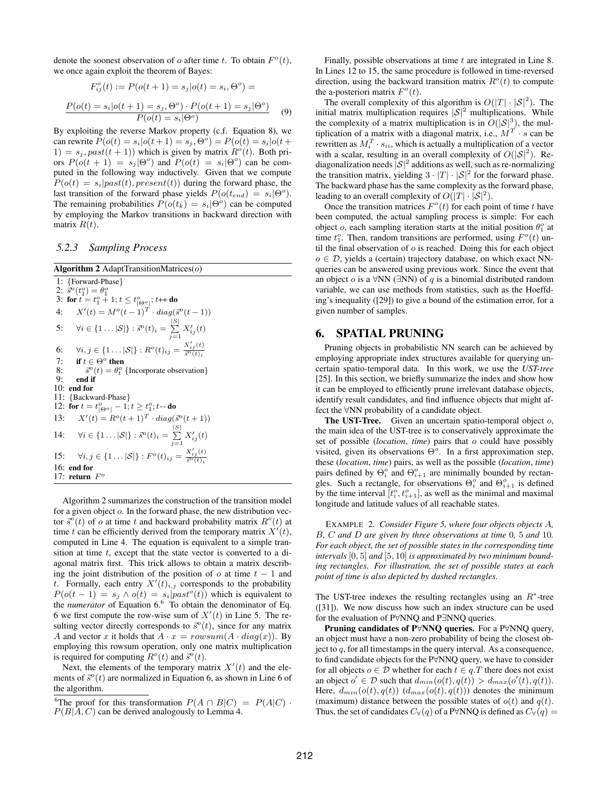denote the soonest observation of o after time t. To obtain  $F^o(t)$ , we once again exploit the theorem of Bayes:

$$
F_{ij}^{o}(t) := P(o(t+1) = s_j | o(t) = s_i, \Theta^o) =
$$

$$
\frac{P(o(t) = s_i|o(t+1) = s_j, \Theta^o) \cdot P(o(t+1) = s_j|\Theta^o)}{P(o(t) = s_i|\Theta^o)}
$$
(9)

By exploiting the reverse Markov property (c.f. Equation 8), we can rewrite  $P(o(t) = s_i | o(t + 1) = s_j, \Theta^o) = P(o(t) = s_i | o(t + 1)$  $1) = s_j, past(t + 1)$  which is given by matrix  $R<sup>o</sup>(t)$ . Both priors  $P(o(t + 1) = s_i | \Theta^o)$  and  $P(o(t) = s_i | \Theta^o)$  can be computed in the following way inductively. Given that we compute  $P(o(t) = s_i | past(t), present(t))$  during the forward phase, the last transition of the forward phase yields  $P(o(t_{end}) = s_i | \Theta^o)$ . The remaining probabilities  $P(o(t_k) = s_i | \Theta^o)$  can be computed by employing the Markov transitions in backward direction with matrix  $R(t)$ .

#### *5.2.3 Sampling Process*

| <b>Algorithm 2</b> AdaptTransitionMatrices( $o$ ) |                                                                                                   |
|---------------------------------------------------|---------------------------------------------------------------------------------------------------|
|                                                   | 1: {Forward-Phase}                                                                                |
|                                                   | 2: $\vec{s}^{\circ}(t_1^o) = \theta_1^o$                                                          |
|                                                   | 3: for $t = t_1^o + 1$ ; $t \leq t_{ \Theta^o }^o$ ; $t++$ do                                     |
|                                                   | 4: $X'(t) = M^o(t-1)^T \cdot diag(\bar{s}^o(t-1))$                                                |
|                                                   | 5: $\forall i \in \{1 \dots  \mathcal{S} \} : \bar{s}^{\circ}(t)_i = \sum_{i=1}^{ S } X'_{ij}(t)$ |
|                                                   | 6: $\forall i, j \in \{1 \dots  \mathcal{S} \} : R^o(t)_{ij} = \frac{X'_{ij}(t)}{\vec{s}^{o}(t)}$ |
|                                                   | 7: if $t \in \Theta$ <sup>o</sup> then                                                            |
| 8:                                                | $\vec{s}^{\circ}(t) = \theta^{\circ}_t$ {Incorporate observation}                                 |
| 9:                                                | end if                                                                                            |
|                                                   | $10:$ end for                                                                                     |
| 11:                                               | {Backward-Phase}                                                                                  |
|                                                   | 12: for $t = t_{ \Theta^o }^o - 1$ ; $t \geq t_1^o$ ; $t$ -- do                                   |
| 13:                                               | $X'(t) = R^{o}(t+1)^{T} \cdot diag(\bar{s}^{o}(t+1))$                                             |
|                                                   | 14: $\forall i \in \{1 \mathcal{S} \} : \vec{s}^{\circ}(t)_i = \sum_{j=1}^{ S } X'_{ij}(t)$       |
|                                                   | 15: $\forall i, j \in \{1 \dots  \mathcal{S} \} : F^o(t)_{ij} = \frac{X'_{ij}(t)}{\pi o(t)}$      |
|                                                   | $16:$ end for                                                                                     |
|                                                   | 17: return $Fo$                                                                                   |

Algorithm 2 summarizes the construction of the transition model for a given object o. In the forward phase, the new distribution vector  $\bar{s}^{\circ}(t)$  of o at time t and backward probability matrix  $R^{\circ}(t)$  at time t can be efficiently derived from the temporary matrix  $X'(t)$ , computed in Line 4. The equation is equivalent to a simple transition at time  $t$ , except that the state vector is converted to a diagonal matrix first. This trick allows to obtain a matrix describing the joint distribution of the position of  $o$  at time  $t - 1$  and t. Formally, each entry  $X'(t)_{i,j}$  corresponds to the probability  $P(o(t-1) = s_j \wedge o(t) = s_i | past^o(t))$  which is equivalent to the *numerator* of Equation 6.<sup>6</sup> To obtain the denominator of Eq. 6 we first compute the row-wise sum of  $X'(t)$  in Line 5. The resulting vector directly corresponds to  $\bar{s}^{\circ}(t)$ , since for any matrix A and vector x it holds that  $A \cdot x = rowsum(A \cdot diag(x))$ . By employing this rowsum operation, only one matrix multiplication is required for computing  $R^o(t)$  and  $\vec{s}^o(t)$ .

Next, the elements of the temporary matrix  $X'(t)$  and the elements of  $\bar{s}^{\circ}(t)$  are normalized in Equation 6, as shown in Line 6 of the algorithm.

Finally, possible observations at time  $t$  are integrated in Line 8. In Lines 12 to 15, the same procedure is followed in time-reversed direction, using the backward transition matrix  $R<sup>o</sup>(t)$  to compute the a-posteriori matrix  $F^o(t)$ .

The overall complexity of this algorithm is  $O(|T| \cdot |\mathcal{S}|^2)$ . The initial matrix multiplication requires  $|\mathcal{S}|^2$  multiplications. While the complexity of a matrix multiplication is in  $O(|\mathcal{S}|^3)$ , the multiplication of a matrix with a diagonal matrix, i.e.,  $M^T \cdot s$  can be rewritten as  $M_i^T \cdot s_{ii}$ , which is actually a multiplication of a vector with a scalar, resulting in an overall complexity of  $O(|S|^2)$ . Rediagonalization needs  $|S|^2$  additions as well, such as re-normalizing the transition matrix, yielding  $3 \cdot |T| \cdot |\mathcal{S}|^2$  for the forward phase. The backward phase has the same complexity as the forward phase, leading to an overall complexity of  $O(|T| \cdot |\mathcal{S}|^2)$ .

Once the transition matrices  $F^{\circ}(t)$  for each point of time t have been computed, the actual sampling process is simple: For each object o, each sampling iteration starts at the initial position  $\theta_1^o$  at time  $t_1^o$ . Then, random transitions are performed, using  $F^o(t)$  until the final observation of  $o$  is reached. Doing this for each object  $o \in \mathcal{D}$ , yields a (certain) trajectory database, on which exact NNqueries can be answered using previous work. Since the event that an object  $o$  is a  $\forall NN$  ( $\exists NN$ ) of  $q$  is a binomial distributed random variable, we can use methods from statistics, such as the Hoeffding's inequality ([29]) to give a bound of the estimation error, for a given number of samples.

#### 6. SPATIAL PRUNING

Pruning objects in probabilistic NN search can be achieved by employing appropriate index structures available for querying uncertain spatio-temporal data. In this work, we use the *UST-tree* [25]. In this section, we briefly summarize the index and show how it can be employed to efficiently prune irrelevant database objects, identify result candidates, and find influence objects that might affect the ∀NN probability of a candidate object.

The UST-Tree. Given an uncertain spatio-temporal object o, the main idea of the UST-tree is to conservatively approximate the set of possible (*location*, *time*) pairs that o could have possibly visited, given its observations  $\Theta$ <sup>o</sup>. In a first approximation step, these (*location*, *time*) pairs, as well as the possible (*location*, *time*) pairs defined by  $\Theta_i^o$  and  $\Theta_{i+1}^o$  are minimally bounded by rectangles. Such a rectangle, for observations  $\Theta_i^o$  and  $\Theta_{i+1}^o$  is defined by the time interval  $[t_i^o, t_{i+1}^o]$ , as well as the minimal and maximal longitude and latitude values of all reachable states.

EXAMPLE 2. *Consider Figure 5, where four objects objects* A*,* B*,* C *and* D *are given by three observations at time* 0*,* 5 *and* 10*. For each object, the set of possible states in the corresponding time intervals* [0, 5] *and* [5, 10] *is approximated by two minimum bounding rectangles. For illustration, the set of possible states at each point of time is also depicted by dashed rectangles.*

The UST-tree indexes the resulting rectangles using an  $R^*$ -tree ([31]). We now discuss how such an index structure can be used for the evaluation of P∀NNQ and P∃NNQ queries.

Pruning candidates of P∀NNQ queries. For a P∀NNQ query, an object must have a non-zero probability of being the closest object to  $q$ , for all timestamps in the query interval. As a consequence, to find candidate objects for the P∀NNQ query, we have to consider for all objects  $o \in \mathcal{D}$  whether for each  $t \in q$ . T there does not exist an object  $o' \in \mathcal{D}$  such that  $d_{min}(o(t), q(t)) > d_{max}(o'(t), q(t))$ . Here,  $d_{min}(o(t), q(t))$   $(d_{max}(o(t), q(t)))$  denotes the minimum (maximum) distance between the possible states of  $o(t)$  and  $q(t)$ . Thus, the set of candidates  $C_{\forall}(q)$  of a P $\forall NNQ$  is defined as  $C_{\forall}(q)$  =

<sup>&</sup>lt;sup>6</sup>The proof for this transformation  $P(A \cap B|C) = P(A|C)$ .  $P(B|A, C)$  can be derived analogously to Lemma 4.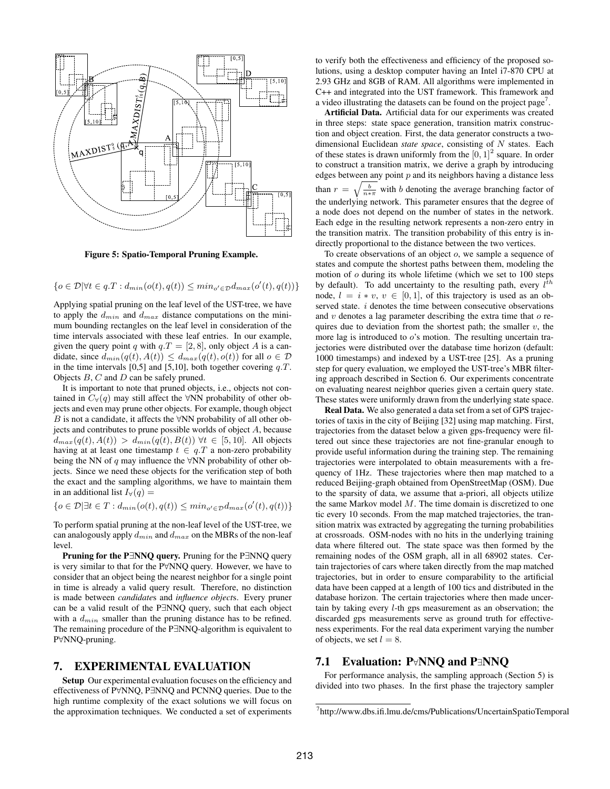

Figure 5: Spatio-Temporal Pruning Example.

 $\{o \in \mathcal{D} | \forall t \in q.T : d_{min}(o(t), q(t)) \leq min_{o' \in \mathcal{D}} d_{max}(o'(t), q(t))\}$ 

Applying spatial pruning on the leaf level of the UST-tree, we have to apply the  $d_{min}$  and  $d_{max}$  distance computations on the minimum bounding rectangles on the leaf level in consideration of the time intervals associated with these leaf entries. In our example, given the query point q with  $qT = [2, 8]$ , only object A is a candidate, since  $d_{min}(q(t), A(t)) \leq d_{max}(q(t), o(t))$  for all  $o \in \mathcal{D}$ in the time intervals  $[0,5]$  and  $[5,10]$ , both together covering  $q.T$ . Objects  $B, C$  and  $D$  can be safely pruned.

It is important to note that pruned objects, i.e., objects not contained in  $C_{\forall}(q)$  may still affect the  $\forall NN$  probability of other objects and even may prune other objects. For example, though object B is not a candidate, it affects the ∀NN probability of all other objects and contributes to prune possible worlds of object A, because  $d_{max}(q(t), A(t)) > d_{min}(q(t), B(t))$   $\forall t \in [5, 10]$ . All objects having at at least one timestamp  $t \in q$ . T a non-zero probability being the NN of  $q$  may influence the  $\forall NN$  probability of other objects. Since we need these objects for the verification step of both the exact and the sampling algorithms, we have to maintain them in an additional list  $I_{\forall}(q) =$ 

$$
\{o \in \mathcal{D} | \exists t \in T : d_{min}(o(t), q(t)) \leq min_{o' \in \mathcal{D}} d_{max}(o'(t), q(t))\}
$$

To perform spatial pruning at the non-leaf level of the UST-tree, we can analogously apply  $d_{min}$  and  $d_{max}$  on the MBRs of the non-leaf level.

Pruning for the P∃NNQ query. Pruning for the P∃NNQ query is very similar to that for the P∀NNQ query. However, we have to consider that an object being the nearest neighbor for a single point in time is already a valid query result. Therefore, no distinction is made between *candidate*s and *influence object*s. Every pruner can be a valid result of the P∃NNQ query, such that each object with a  $d_{min}$  smaller than the pruning distance has to be refined. The remaining procedure of the P∃NNQ-algorithm is equivalent to P∀NNQ-pruning.

## 7. EXPERIMENTAL EVALUATION

Setup Our experimental evaluation focuses on the efficiency and effectiveness of P∀NNQ, P∃NNQ and PCNNQ queries. Due to the high runtime complexity of the exact solutions we will focus on the approximation techniques. We conducted a set of experiments to verify both the effectiveness and efficiency of the proposed solutions, using a desktop computer having an Intel i7-870 CPU at 2.93 GHz and 8GB of RAM. All algorithms were implemented in C++ and integrated into the UST framework. This framework and a video illustrating the datasets can be found on the project page<sup>7</sup>.

Artificial Data. Artificial data for our experiments was created in three steps: state space generation, transition matrix construction and object creation. First, the data generator constructs a twodimensional Euclidean *state space*, consisting of N states. Each of these states is drawn uniformly from the  $[0, 1]^2$  square. In order to construct a transition matrix, we derive a graph by introducing edges between any point  $p$  and its neighbors having a distance less than  $r = \sqrt{\frac{b}{n * \pi}}$  with b denoting the average branching factor of the underlying network. This parameter ensures that the degree of a node does not depend on the number of states in the network. Each edge in the resulting network represents a non-zero entry in the transition matrix. The transition probability of this entry is indirectly proportional to the distance between the two vertices.

To create observations of an object o, we sample a sequence of states and compute the shortest paths between them, modeling the motion of o during its whole lifetime (which we set to 100 steps by default). To add uncertainty to the resulting path, every  $l^{\bar{t}h}$ node,  $l = i * v$ ,  $v \in [0, 1]$ , of this trajectory is used as an observed state. i denotes the time between consecutive observations and  $v$  denotes a lag parameter describing the extra time that  $o$  requires due to deviation from the shortest path; the smaller  $v$ , the more lag is introduced to  $o$ 's motion. The resulting uncertain trajectories were distributed over the database time horizon (default: 1000 timestamps) and indexed by a UST-tree [25]. As a pruning step for query evaluation, we employed the UST-tree's MBR filtering approach described in Section 6. Our experiments concentrate on evaluating nearest neighbor queries given a certain query state. These states were uniformly drawn from the underlying state space.

Real Data. We also generated a data set from a set of GPS trajectories of taxis in the city of Beijing [32] using map matching. First, trajectories from the dataset below a given gps-frequency were filtered out since these trajectories are not fine-granular enough to provide useful information during the training step. The remaining trajectories were interpolated to obtain measurements with a frequency of 1Hz. These trajectories where then map matched to a reduced Beijing-graph obtained from OpenStreetMap (OSM). Due to the sparsity of data, we assume that a-priori, all objects utilize the same Markov model  $M$ . The time domain is discretized to one tic every 10 seconds. From the map matched trajectories, the transition matrix was extracted by aggregating the turning probabilities at crossroads. OSM-nodes with no hits in the underlying training data where filtered out. The state space was then formed by the remaining nodes of the OSM graph, all in all 68902 states. Certain trajectories of cars where taken directly from the map matched trajectories, but in order to ensure comparability to the artificial data have been capped at a length of 100 tics and distributed in the database horizon. The certain trajectories where then made uncertain by taking every l-th gps measurement as an observation; the discarded gps measurements serve as ground truth for effectiveness experiments. For the real data experiment varying the number of objects, we set  $l = 8$ .

# 7.1 Evaluation: P∀NNQ and P∃NNQ

For performance analysis, the sampling approach (Section 5) is divided into two phases. In the first phase the trajectory sampler

<sup>&</sup>lt;sup>7</sup>http://www.dbs.ifi.lmu.de/cms/Publications/UncertainSpatioTemporal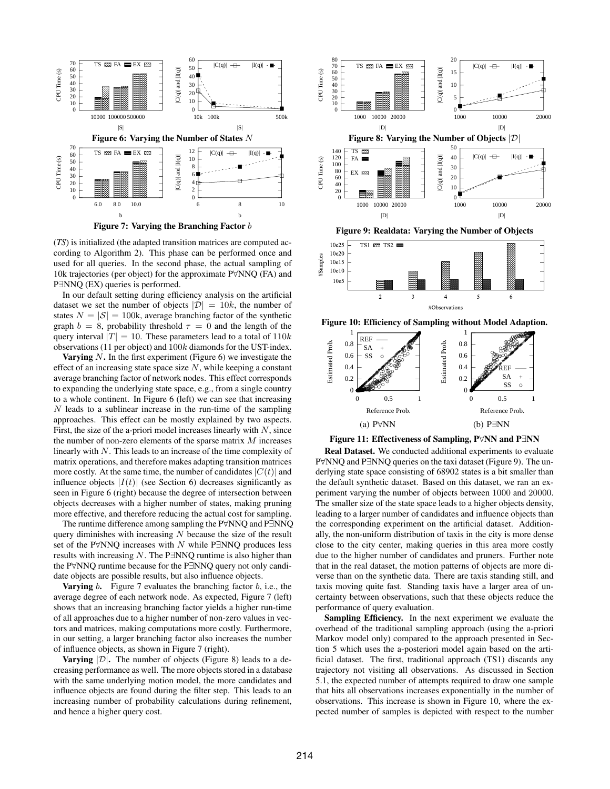



(*TS*) is initialized (the adapted transition matrices are computed according to Algorithm 2). This phase can be performed once and used for all queries. In the second phase, the actual sampling of 10k trajectories (per object) for the approximate P∀NNQ (FA) and P∃NNQ (EX) queries is performed.

In our default setting during efficiency analysis on the artificial dataset we set the number of objects  $|\mathcal{D}| = 10k$ , the number of states  $N = |\mathcal{S}| = 100k$ , average branching factor of the synthetic graph  $b = 8$ , probability threshold  $\tau = 0$  and the length of the query interval  $|T| = 10$ . These parameters lead to a total of  $110k$ observations (11 per object) and 100k diamonds for the UST-index.

Varying  $N$ . In the first experiment (Figure 6) we investigate the effect of an increasing state space size  $N$ , while keeping a constant average branching factor of network nodes. This effect corresponds to expanding the underlying state space, e.g., from a single country to a whole continent. In Figure 6 (left) we can see that increasing  $N$  leads to a sublinear increase in the run-time of the sampling approaches. This effect can be mostly explained by two aspects. First, the size of the a-priori model increases linearly with  $N$ , since the number of non-zero elements of the sparse matrix  $M$  increases linearly with N. This leads to an increase of the time complexity of matrix operations, and therefore makes adapting transition matrices more costly. At the same time, the number of candidates  $|C(t)|$  and influence objects  $|I(t)|$  (see Section 6) decreases significantly as seen in Figure 6 (right) because the degree of intersection between objects decreases with a higher number of states, making pruning more effective, and therefore reducing the actual cost for sampling. and the matter of  $\frac{1}{2}$  ( $\frac{1}{2}$  and  $\frac{1}{2}$  and  $\frac{1}{2}$  and  $\frac{1}{2}$  and  $\frac{1}{2}$  and  $\frac{1}{2}$  and  $\frac{1}{2}$  and  $\frac{1}{2}$  and  $\frac{1}{2}$  and  $\frac{1}{2}$  and  $\frac{1}{2}$  and  $\frac{1}{2}$  and  $\frac{1}{2}$  and  $\frac{1}{2}$ 

The runtime difference among sampling the P∀NNQ and P∃NNQ query diminishes with increasing  $N$  because the size of the result set of the P∀NNQ increases with N while P∃NNQ produces less results with increasing N. The P∃NNQ runtime is also higher than the P∀NNQ runtime because for the P∃NNQ query not only candidate objects are possible results, but also influence objects.

**Varying**  $b$ . Figure 7 evaluates the branching factor  $b$ , i.e., the average degree of each network node. As expected, Figure 7 (left) shows that an increasing branching factor yields a higher run-time of all approaches due to a higher number of non-zero values in vectors and matrices, making computations more costly. Furthermore, in our setting, a larger branching factor also increases the number of influence objects, as shown in Figure 7 (right).

**Varying**  $|\mathcal{D}|$ . The number of objects (Figure 8) leads to a decreasing performance as well. The more objects stored in a database with the same underlying motion model, the more candidates and influence objects are found during the filter step. This leads to an increasing number of probability calculations during refinement,





Figure 10: Efficiency of Sampling without Model Adaption.



Figure 11: Effectiveness of Sampling, P∀NN and P∃NN

Real Dataset. We conducted additional experiments to evaluate P∀NNQ and P∃NNQ queries on the taxi dataset (Figure 9). The underlying state space consisting of 68902 states is a bit smaller than the default synthetic dataset. Based on this dataset, we ran an experiment varying the number of objects between 1000 and 20000. The smaller size of the state space leads to a higher objects density, leading to a larger number of candidates and influence objects than the corresponding experiment on the artificial dataset. Additionally, the non-uniform distribution of taxis in the city is more dense close to the city center, making queries in this area more costly due to the higher number of candidates and pruners. Further note that in the real dataset, the motion patterns of objects are more diverse than on the synthetic data. There are taxis standing still, and taxis moving quite fast. Standing taxis have a larger area of uncertainty between observations, such that these objects reduce the performance of query evaluation.

Sampling Efficiency. In the next experiment we evaluate the overhead of the traditional sampling approach (using the a-priori Markov model only) compared to the approach presented in Section 5 which uses the a-posteriori model again based on the artificial dataset. The first, traditional approach (TS1) discards any trajectory not visiting all observations. As discussed in Section 5.1, the expected number of attempts required to draw one sample that hits all observations increases exponentially in the number of observations. This increase is shown in Figure 10, where the expected number of samples is depicted with respect to the number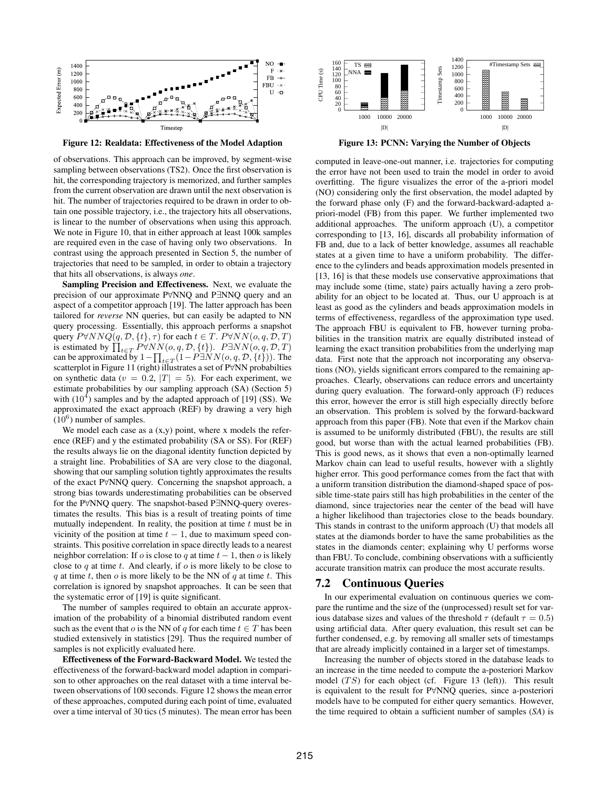

Figure 12: Realdata: Effectiveness of the Model Adaption

of observations. This approach can be improved, by segment-wise sampling between observations (TS2). Once the first observation is hit, the corresponding trajectory is memorized, and further samples from the current observation are drawn until the next observation is hit. The number of trajectories required to be drawn in order to obtain one possible trajectory, i.e., the trajectory hits all observations, is linear to the number of observations when using this approach. We note in Figure 10, that in either approach at least 100k samples are required even in the case of having only two observations. In contrast using the approach presented in Section 5, the number of trajectories that need to be sampled, in order to obtain a trajectory that hits all observations, is always *one*.

Sampling Precision and Effectiveness. Next, we evaluate the precision of our approximate P∀NNQ and P∃NNQ query and an aspect of a competitor approach [19]. The latter approach has been tailored for *reverse* NN queries, but can easily be adapted to NN query processing. Essentially, this approach performs a snapshot query  $P\forall NNQ(q, \mathcal{D}, \{t\}, \tau)$  for each  $t \in T$ .  $P\forall NN(o, q, \mathcal{D}, T)$ is estimated by  $\prod_{t \in T} P \forall NN(o, q, \mathcal{D}, \{t\})$ .  $P \exists NN(o, q, \mathcal{D}, T)$ can be approximated by  $1 - \prod_{t \in T} (1 - P \exists NN(o, q, \mathcal{D}, \{t\}))$ . The scatterplot in Figure 11 (right) illustrates a set of P∀NN probabilties on synthetic data ( $v = 0.2$ ,  $|T| = 5$ ). For each experiment, we estimate probabilities by our sampling approach (SA) (Section 5) with  $(10<sup>4</sup>)$  samples and by the adapted approach of [19] (SS). We approximated the exact approach (REF) by drawing a very high  $(10^6)$  number of samples.

We model each case as a  $(x,y)$  point, where x models the reference (REF) and y the estimated probability (SA or SS). For (REF) the results always lie on the diagonal identity function depicted by a straight line. Probabilities of SA are very close to the diagonal, showing that our sampling solution tightly approximates the results of the exact P∀NNQ query. Concerning the snapshot approach, a strong bias towards underestimating probabilities can be observed for the P∀NNQ query. The snapshot-based P∃NNQ-query overestimates the results. This bias is a result of treating points of time mutually independent. In reality, the position at time  $t$  must be in vicinity of the position at time  $t - 1$ , due to maximum speed constraints. This positive correlation in space directly leads to a nearest neighbor correlation: If o is close to q at time  $t - 1$ , then o is likely close to q at time t. And clearly, if  $\sigma$  is more likely to be close to q at time t, then  $\sigma$  is more likely to be the NN of q at time t. This correlation is ignored by snapshot approaches. It can be seen that the systematic error of [19] is quite significant. 3 and Extra time interval of 20 tics (5 minutes). The mean error has been distinguished contents (5 minutes). This approach can be improved by estimative interval of observations in the mean error of the Most can be inter

The number of samples required to obtain an accurate approximation of the probability of a binomial distributed random event such as the event that *o* is the NN of q for each time  $t \in T$  has been studied extensively in statistics [29]. Thus the required number of samples is not explicitly evaluated here.

Effectiveness of the Forward-Backward Model. We tested the effectiveness of the forward-backward model adaption in comparison to other approaches on the real dataset with a time interval between observations of 100 seconds. Figure 12 shows the mean error of these approaches, computed during each point of time, evaluated



Figure 13: PCNN: Varying the Number of Objects

computed in leave-one-out manner, i.e. trajectories for computing the error have not been used to train the model in order to avoid overfitting. The figure visualizes the error of the a-priori model (NO) considering only the first observation, the model adapted by the forward phase only (F) and the forward-backward-adapted apriori-model (FB) from this paper. We further implemented two additional approaches. The uniform approach (U), a competitor corresponding to [13, 16], discards all probability information of FB and, due to a lack of better knowledge, assumes all reachable states at a given time to have a uniform probability. The difference to the cylinders and beads approximation models presented in [13, 16] is that these models use conservative approximations that may include some (time, state) pairs actually having a zero probability for an object to be located at. Thus, our U approach is at least as good as the cylinders and beads approximation models in terms of effectiveness, regardless of the approximation type used. The approach FBU is equivalent to FB, however turning probabilities in the transition matrix are equally distributed instead of learning the exact transition probabilities from the underlying map data. First note that the approach not incorporating any observations (NO), yields significant errors compared to the remaining approaches. Clearly, observations can reduce errors and uncertainty during query evaluation. The forward-only approach (F) reduces this error, however the error is still high especially directly before an observation. This problem is solved by the forward-backward approach from this paper (FB). Note that even if the Markov chain is assumed to be uniformly distributed (FBU), the results are still good, but worse than with the actual learned probabilities (FB). This is good news, as it shows that even a non-optimally learned Markov chain can lead to useful results, however with a slightly higher error. This good performance comes from the fact that with a uniform transition distribution the diamond-shaped space of possible time-state pairs still has high probabilities in the center of the diamond, since trajectories near the center of the bead will have a higher likelihood than trajectories close to the beads boundary. This stands in contrast to the uniform approach (U) that models all states at the diamonds border to have the same probabilities as the states in the diamonds center; explaining why U performs worse than FBU. To conclude, combining observations with a sufficiently accurate transition matrix can produce the most accurate results.

## 7.2 Continuous Queries

In our experimental evaluation on continuous queries we compare the runtime and the size of the (unprocessed) result set for various database sizes and values of the threshold  $\tau$  (default  $\tau = 0.5$ ) using artificial data. After query evaluation, this result set can be further condensed, e.g. by removing all smaller sets of timestamps that are already implicitly contained in a larger set of timestamps.

Increasing the number of objects stored in the database leads to an increase in the time needed to compute the a-posteriori Markov model  $(TS)$  for each object (cf. Figure 13 (left)). This result is equivalent to the result for P∀NNQ queries, since a-posteriori models have to be computed for either query semantics. However, the time required to obtain a sufficient number of samples (*SA*) is